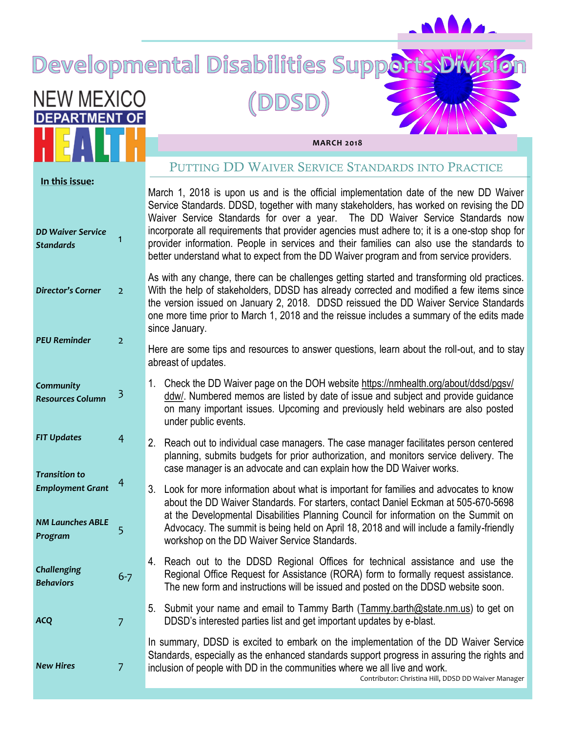# Developmental Disabilities Supports, Division

## (DDSD)

**NEW MEXICO DEPARTMENT OF** 

**MARCH 2018**

|                                                                |                | PUTTING DD WAIVER SERVICE STANDARDS INTO PRACTICE                                                                                                                                                                                                                                                                                                                                                                                                                                                                                                          |
|----------------------------------------------------------------|----------------|------------------------------------------------------------------------------------------------------------------------------------------------------------------------------------------------------------------------------------------------------------------------------------------------------------------------------------------------------------------------------------------------------------------------------------------------------------------------------------------------------------------------------------------------------------|
| In this issue:<br><b>DD Waiver Service</b><br><b>Standards</b> | 1              | March 1, 2018 is upon us and is the official implementation date of the new DD Waiver<br>Service Standards. DDSD, together with many stakeholders, has worked on revising the DD<br>Waiver Service Standards for over a year. The DD Waiver Service Standards now<br>incorporate all requirements that provider agencies must adhere to; it is a one-stop shop for<br>provider information. People in services and their families can also use the standards to<br>better understand what to expect from the DD Waiver program and from service providers. |
| <b>Director's Corner</b>                                       | $\overline{2}$ | As with any change, there can be challenges getting started and transforming old practices.<br>With the help of stakeholders, DDSD has already corrected and modified a few items since<br>the version issued on January 2, 2018. DDSD reissued the DD Waiver Service Standards<br>one more time prior to March 1, 2018 and the reissue includes a summary of the edits made<br>since January.                                                                                                                                                             |
| <b>PEU Reminder</b>                                            | $\overline{2}$ | Here are some tips and resources to answer questions, learn about the roll-out, and to stay<br>abreast of updates.                                                                                                                                                                                                                                                                                                                                                                                                                                         |
| Community<br><b>Resources Column</b>                           | 3              | 1. Check the DD Waiver page on the DOH website https://nmhealth.org/about/ddsd/pgsv/<br>ddw/. Numbered memos are listed by date of issue and subject and provide guidance<br>on many important issues. Upcoming and previously held webinars are also posted<br>under public events.                                                                                                                                                                                                                                                                       |
| <b>FIT Updates</b><br><b>Transition to</b>                     | $\overline{4}$ | Reach out to individual case managers. The case manager facilitates person centered<br>2.<br>planning, submits budgets for prior authorization, and monitors service delivery. The<br>case manager is an advocate and can explain how the DD Waiver works.                                                                                                                                                                                                                                                                                                 |
| <b>Employment Grant</b>                                        | 4              | 3.<br>Look for more information about what is important for families and advocates to know<br>about the DD Waiver Standards. For starters, contact Daniel Eckman at 505-670-5698                                                                                                                                                                                                                                                                                                                                                                           |
| <b>NM Launches ABLE</b><br>Program                             | 5              | at the Developmental Disabilities Planning Council for information on the Summit on<br>Advocacy. The summit is being held on April 18, 2018 and will include a family-friendly<br>workshop on the DD Waiver Service Standards.                                                                                                                                                                                                                                                                                                                             |
| Challenging<br><b>Behaviors</b>                                | $6 - 7$        | 4. Reach out to the DDSD Regional Offices for technical assistance and use the<br>Regional Office Request for Assistance (RORA) form to formally request assistance.<br>The new form and instructions will be issued and posted on the DDSD website soon.                                                                                                                                                                                                                                                                                                  |
| <b>ACQ</b>                                                     | $\overline{7}$ | 5. Submit your name and email to Tammy Barth (Tammy barth@state.nm.us) to get on<br>DDSD's interested parties list and get important updates by e-blast.                                                                                                                                                                                                                                                                                                                                                                                                   |
| <b>New Hires</b>                                               | $\overline{7}$ | In summary, DDSD is excited to embark on the implementation of the DD Waiver Service<br>Standards, especially as the enhanced standards support progress in assuring the rights and<br>inclusion of people with DD in the communities where we all live and work.<br>Contributor: Christina Hill, DDSD DD Waiver Manager                                                                                                                                                                                                                                   |
|                                                                |                |                                                                                                                                                                                                                                                                                                                                                                                                                                                                                                                                                            |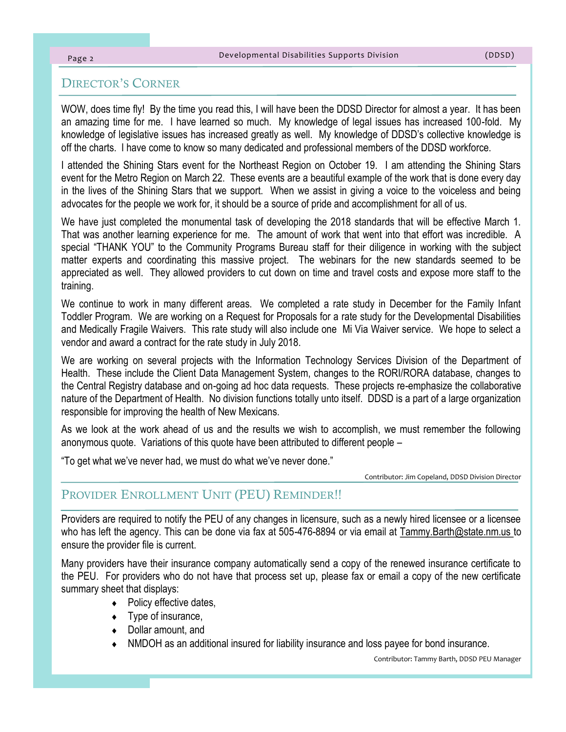#### Page 2

#### DIRECTOR'S CORNER

WOW, does time fly! By the time you read this, I will have been the DDSD Director for almost a year. It has been an amazing time for me. I have learned so much. My knowledge of legal issues has increased 100-fold. My knowledge of legislative issues has increased greatly as well. My knowledge of DDSD's collective knowledge is off the charts. I have come to know so many dedicated and professional members of the DDSD workforce.

I attended the Shining Stars event for the Northeast Region on October 19. I am attending the Shining Stars event for the Metro Region on March 22. These events are a beautiful example of the work that is done every day in the lives of the Shining Stars that we support. When we assist in giving a voice to the voiceless and being advocates for the people we work for, it should be a source of pride and accomplishment for all of us.

We have just completed the monumental task of developing the 2018 standards that will be effective March 1. That was another learning experience for me. The amount of work that went into that effort was incredible. A special "THANK YOU" to the Community Programs Bureau staff for their diligence in working with the subject matter experts and coordinating this massive project. The webinars for the new standards seemed to be appreciated as well. They allowed providers to cut down on time and travel costs and expose more staff to the training.

We continue to work in many different areas. We completed a rate study in December for the Family Infant Toddler Program. We are working on a Request for Proposals for a rate study for the Developmental Disabilities and Medically Fragile Waivers. This rate study will also include one Mi Via Waiver service. We hope to select a vendor and award a contract for the rate study in July 2018.

We are working on several projects with the Information Technology Services Division of the Department of Health. These include the Client Data Management System, changes to the RORI/RORA database, changes to the Central Registry database and on-going ad hoc data requests. These projects re-emphasize the collaborative nature of the Department of Health. No division functions totally unto itself. DDSD is a part of a large organization responsible for improving the health of New Mexicans.

As we look at the work ahead of us and the results we wish to accomplish, we must remember the following anonymous quote. Variations of this quote have been attributed to different people –

"To get what we've never had, we must do what we've never done."

Contributor: Jim Copeland, DDSD Division Director

#### PROVIDER ENROLLMENT UNIT (PEU) REMINDER!!

Providers are required to notify the PEU of any changes in licensure, such as a newly hired licensee or a licensee who has left the agency. This can be done via fax at 505-476-8894 or via email at Tammy.Barth@state.nm.us to ensure the provider file is current.

Many providers have their insurance company automatically send a copy of the renewed insurance certificate to the PEU. For providers who do not have that process set up, please fax or email a copy of the new certificate summary sheet that displays:

- Policy effective dates,
- $\bullet$  Type of insurance,
- ◆ Dollar amount, and
- NMDOH as an additional insured for liability insurance and loss payee for bond insurance.

Contributor: Tammy Barth, DDSD PEU Manager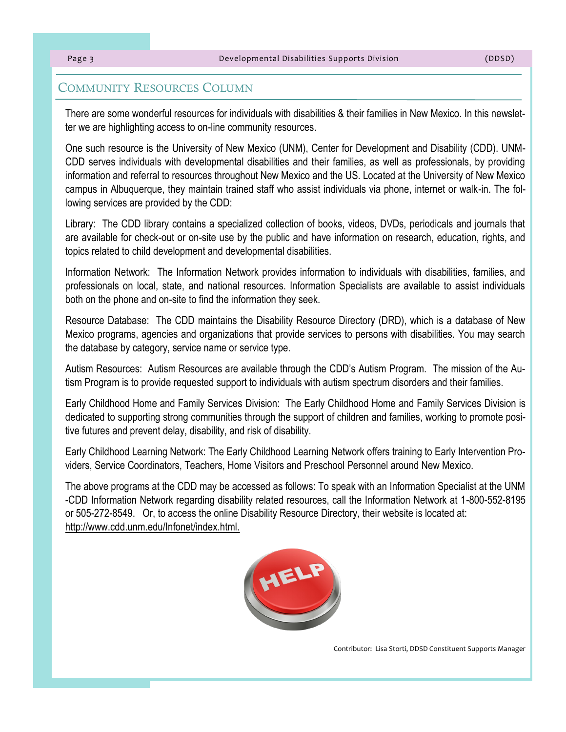#### COMMUNITY RESOURCES COLUMN

There are some wonderful resources for individuals with disabilities & their families in New Mexico. In this newsletter we are highlighting access to on-line community resources.

One such resource is the University of New Mexico (UNM), Center for Development and Disability (CDD). UNM-CDD serves individuals with developmental disabilities and their families, as well as professionals, by providing information and referral to resources throughout New Mexico and the US. Located at the University of New Mexico campus in Albuquerque, they maintain trained staff who assist individuals via phone, internet or walk-in. The following services are provided by the CDD:

Library: The CDD library contains a specialized collection of books, videos, DVDs, periodicals and journals that are available for check-out or on-site use by the public and have information on research, education, rights, and topics related to child development and developmental disabilities.

Information Network: The Information Network provides information to individuals with disabilities, families, and professionals on local, state, and national resources. Information Specialists are available to assist individuals both on the phone and on-site to find the information they seek.

Resource Database: The CDD maintains the Disability Resource Directory (DRD), which is a database of New Mexico programs, agencies and organizations that provide services to persons with disabilities. You may search the database by category, service name or service type.

Autism Resources: Autism Resources are available through the CDD's Autism Program. The mission of the Autism Program is to provide requested support to individuals with autism spectrum disorders and their families.

Early Childhood Home and Family Services Division: The Early Childhood Home and Family Services Division is dedicated to supporting strong communities through the support of children and families, working to promote positive futures and prevent delay, disability, and risk of disability.

Early Childhood Learning Network: The Early Childhood Learning Network offers training to Early Intervention Providers, Service Coordinators, Teachers, Home Visitors and Preschool Personnel around New Mexico.

The above programs at the CDD may be accessed as follows: To speak with an Information Specialist at the UNM -CDD Information Network regarding disability related resources, call the Information Network at 1-800-552-8195 or 505-272-8549. Or, to access the online Disability Resource Directory, their website is located at: http://www.cdd.unm.edu/Infonet/index.html.



Contributor: Lisa Storti, DDSD Constituent Supports Manager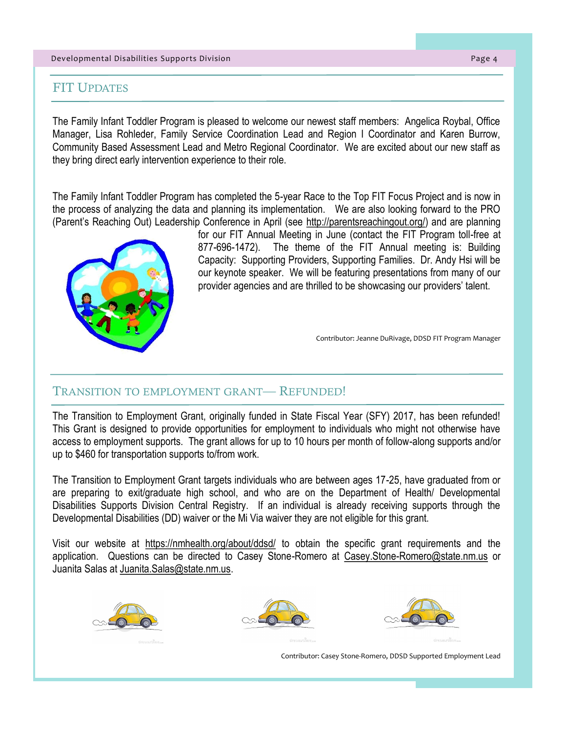#### Developmental Disabilities Supports Division Page 4

#### FIT UPDATES

The Family Infant Toddler Program is pleased to welcome our newest staff members: Angelica Roybal, Office Manager, Lisa Rohleder, Family Service Coordination Lead and Region I Coordinator and Karen Burrow, Community Based Assessment Lead and Metro Regional Coordinator. We are excited about our new staff as they bring direct early intervention experience to their role.

The Family Infant Toddler Program has completed the 5-year Race to the Top FIT Focus Project and is now in the process of analyzing the data and planning its implementation. We are also looking forward to the PRO (Parent's Reaching Out) Leadership Conference in April (see http://parentsreachingout.org/) and are planning



for our FIT Annual Meeting in June (contact the FIT Program toll-free at 877-696-1472). The theme of the FIT Annual meeting is: Building Capacity: Supporting Providers, Supporting Families. Dr. Andy Hsi will be our keynote speaker. We will be featuring presentations from many of our provider agencies and are thrilled to be showcasing our providers' talent.

Contributor: Jeanne DuRivage, DDSD FIT Program Manager

#### TRANSITION TO EMPLOYMENT GRANT— REFUNDED!

The Transition to Employment Grant, originally funded in State Fiscal Year (SFY) 2017, has been refunded! This Grant is designed to provide opportunities for employment to individuals who might not otherwise have access to employment supports. The grant allows for up to 10 hours per month of follow-along supports and/or up to \$460 for transportation supports to/from work.

The Transition to Employment Grant targets individuals who are between ages 17-25, have graduated from or are preparing to exit/graduate high school, and who are on the Department of Health/ Developmental Disabilities Supports Division Central Registry. If an individual is already receiving supports through the Developmental Disabilities (DD) waiver or the Mi Via waiver they are not eligible for this grant.

Visit our website at https://nmhealth.org/about/ddsd/ to obtain the specific grant requirements and the application. Questions can be directed to Casey Stone-Romero at Casey.Stone-Romero@state.nm.us or Juanita Salas at Juanita.Salas@state.nm.us.







Contributor: Casey Stone-Romero, DDSD Supported Employment Lead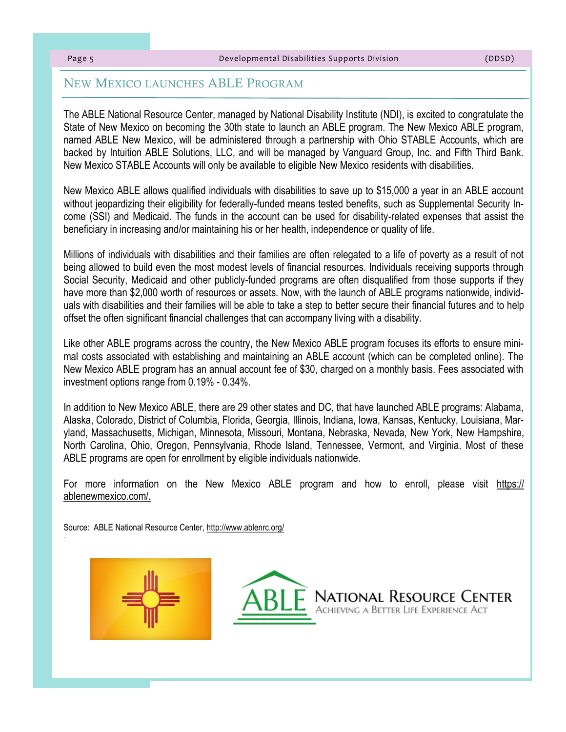#### NEW MEXICO LAUNCHES ABLE PROGRAM

The ABLE National Resource Center, managed by National Disability Institute (NDI), is excited to congratulate the State of New Mexico on becoming the 30th state to launch an ABLE program. The New Mexico ABLE program, named ABLE New Mexico, will be administered through a partnership with Ohio STABLE Accounts, which are backed by Intuition ABLE Solutions, LLC, and will be managed by Vanguard Group, Inc. and Fifth Third Bank. New Mexico STABLE Accounts will only be available to eligible New Mexico residents with disabilities.

New Mexico ABLE allows qualified individuals with disabilities to save up to \$15,000 a year in an ABLE account without jeopardizing their eligibility for federally-funded means tested benefits, such as Supplemental Security Income (SSI) and Medicaid. The funds in the account can be used for disability-related expenses that assist the beneficiary in increasing and/or maintaining his or her health, independence or quality of life.

Millions of individuals with disabilities and their families are often relegated to a life of poverty as a result of not being allowed to build even the most modest levels of financial resources. Individuals receiving supports through Social Security, Medicaid and other publicly-funded programs are often disqualified from those supports if they have more than \$2,000 worth of resources or assets. Now, with the launch of ABLE programs nationwide, individuals with disabilities and their families will be able to take a step to better secure their financial futures and to help offset the often significant financial challenges that can accompany living with a disability.

Like other ABLE programs across the country, the New Mexico ABLE program focuses its efforts to ensure minimal costs associated with establishing and maintaining an ABLE account (which can be completed online). The New Mexico ABLE program has an annual account fee of \$30, charged on a monthly basis. Fees associated with investment options range from 0.19% - 0.34%.

In addition to New Mexico ABLE, there are 29 other states and DC, that have launched ABLE programs: Alabama, Alaska, Colorado, District of Columbia, Florida, Georgia, Illinois, Indiana, Iowa, Kansas, Kentucky, Louisiana, Maryland, Massachusetts, Michigan, Minnesota, Missouri, Montana, Nebraska, Nevada, New York, New Hampshire, North Carolina, Ohio, Oregon, Pennsylvania, Rhode Island, Tennessee, Vermont, and Virginia. Most of these ABLE programs are open for enrollment by eligible individuals nationwide.

For more information on the New Mexico ABLE program and how to enroll, please visit https:// ablenewmexico.com/.

Source: ABLE National Resource Center, http://www.ablenrc.org/



-

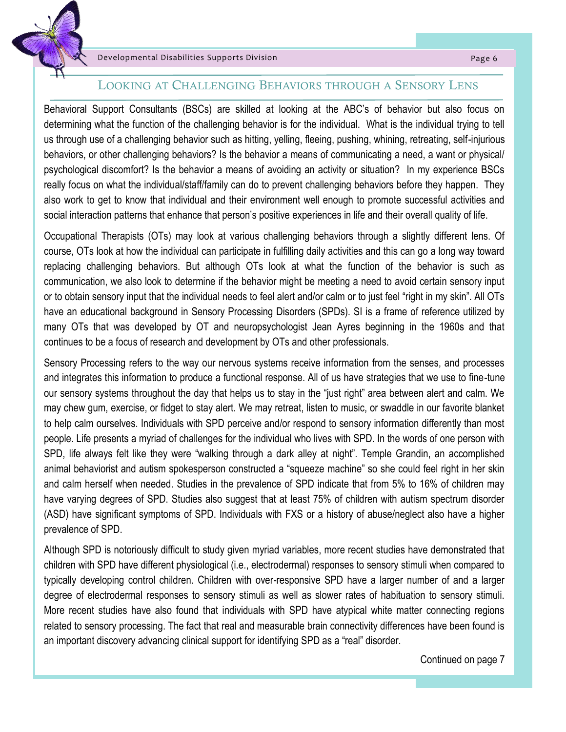

#### LOOKING AT CHALLENGING BEHAVIORS THROUGH A SENSORY LENS

Behavioral Support Consultants (BSCs) are skilled at looking at the ABC's of behavior but also focus on determining what the function of the challenging behavior is for the individual. What is the individual trying to tell us through use of a challenging behavior such as hitting, yelling, fleeing, pushing, whining, retreating, self-injurious behaviors, or other challenging behaviors? Is the behavior a means of communicating a need, a want or physical/ psychological discomfort? Is the behavior a means of avoiding an activity or situation? In my experience BSCs really focus on what the individual/staff/family can do to prevent challenging behaviors before they happen. They also work to get to know that individual and their environment well enough to promote successful activities and social interaction patterns that enhance that person's positive experiences in life and their overall quality of life.

Occupational Therapists (OTs) may look at various challenging behaviors through a slightly different lens. Of course, OTs look at how the individual can participate in fulfilling daily activities and this can go a long way toward replacing challenging behaviors. But although OTs look at what the function of the behavior is such as communication, we also look to determine if the behavior might be meeting a need to avoid certain sensory input or to obtain sensory input that the individual needs to feel alert and/or calm or to just feel "right in my skin". All OTs have an educational background in Sensory Processing Disorders (SPDs). SI is a frame of reference utilized by many OTs that was developed by OT and neuropsychologist Jean Ayres beginning in the 1960s and that continues to be a focus of research and development by OTs and other professionals.

Sensory Processing refers to the way our nervous systems receive information from the senses, and processes and integrates this information to produce a functional response. All of us have strategies that we use to fine-tune our sensory systems throughout the day that helps us to stay in the "just right" area between alert and calm. We may chew gum, exercise, or fidget to stay alert. We may retreat, listen to music, or swaddle in our favorite blanket to help calm ourselves. Individuals with SPD perceive and/or respond to sensory information differently than most people. Life presents a myriad of challenges for the individual who lives with SPD. In the words of one person with SPD, life always felt like they were "walking through a dark alley at night". Temple Grandin, an accomplished animal behaviorist and autism spokesperson constructed a "squeeze machine" so she could feel right in her skin and calm herself when needed. Studies in the prevalence of SPD indicate that from 5% to 16% of children may have varying degrees of SPD. Studies also suggest that at least 75% of children with autism spectrum disorder (ASD) have significant symptoms of SPD. Individuals with FXS or a history of abuse/neglect also have a higher prevalence of SPD.

Although SPD is notoriously difficult to study given myriad variables, more recent studies have demonstrated that children with SPD have different physiological (i.e., electrodermal) responses to sensory stimuli when compared to typically developing control children. Children with over-responsive SPD have a larger number of and a larger degree of electrodermal responses to sensory stimuli as well as slower rates of habituation to sensory stimuli. More recent studies have also found that individuals with SPD have atypical white matter connecting regions related to sensory processing. The fact that real and measurable brain connectivity differences have been found is an important discovery advancing clinical support for identifying SPD as a "real" disorder.

Continued on page 7